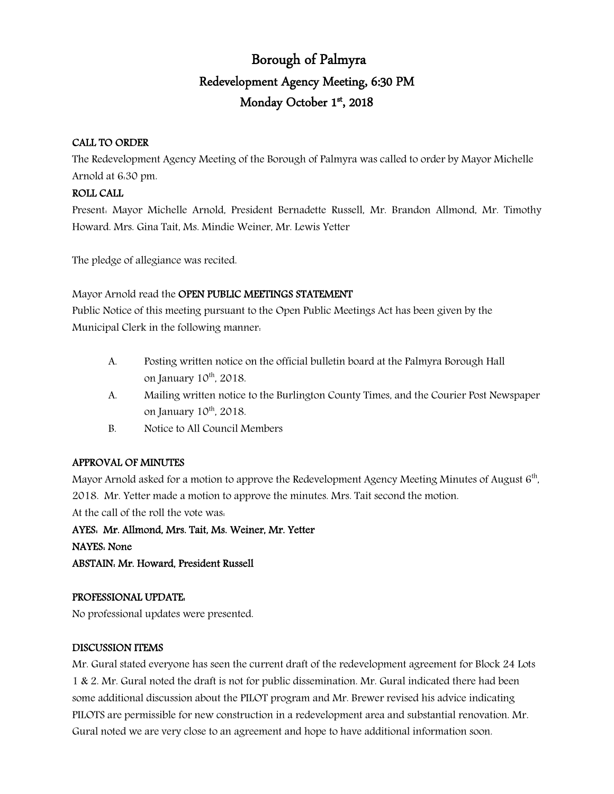# Borough of Palmyra Redevelopment Agency Meeting, 6:30 PM Monday October 1st, 2018

## CALL TO ORDER

The Redevelopment Agency Meeting of the Borough of Palmyra was called to order by Mayor Michelle Arnold at 6:30 pm.

## ROLL CALL

Present: Mayor Michelle Arnold, President Bernadette Russell, Mr. Brandon Allmond, Mr. Timothy Howard. Mrs. Gina Tait, Ms. Mindie Weiner, Mr. Lewis Yetter

The pledge of allegiance was recited.

Mayor Arnold read the OPEN PUBLIC MEETINGS STATEMENT

Public Notice of this meeting pursuant to the Open Public Meetings Act has been given by the Municipal Clerk in the following manner:

- A. Posting written notice on the official bulletin board at the Palmyra Borough Hall on January  $10^{th}$ ,  $2018$ .
- A. Mailing written notice to the Burlington County Times, and the Courier Post Newspaper on January  $10^{th}$ ,  $2018$ .
- B. Notice to All Council Members

## APPROVAL OF MINUTES

Mayor Arnold asked for a motion to approve the Redevelopment Agency Meeting Minutes of August 6<sup>th</sup>, 2018. Mr. Yetter made a motion to approve the minutes. Mrs. Tait second the motion.

At the call of the roll the vote was:

AYES: Mr. Allmond, Mrs. Tait, Ms. Weiner, Mr. Yetter NAYES: None ABSTAIN: Mr. Howard, President Russell

## PROFESSIONAL UPDATE:

No professional updates were presented.

## DISCUSSION ITEMS

Mr. Gural stated everyone has seen the current draft of the redevelopment agreement for Block 24 Lots 1 & 2. Mr. Gural noted the draft is not for public dissemination. Mr. Gural indicated there had been some additional discussion about the PILOT program and Mr. Brewer revised his advice indicating PILOTS are permissible for new construction in a redevelopment area and substantial renovation. Mr. Gural noted we are very close to an agreement and hope to have additional information soon.